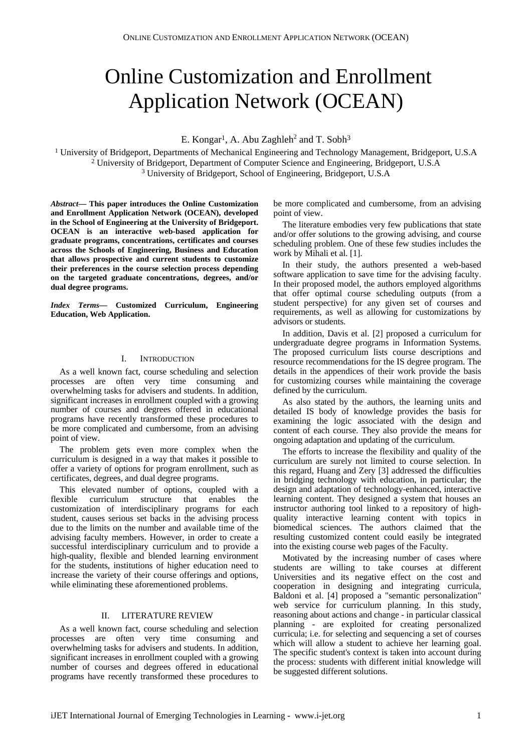# Online Customization and Enrollment Application Network (OCEAN)

E. Kongar<sup>1</sup>, A. Abu Zaghleh<sup>2</sup> and T. Sobh<sup>3</sup>

1 University of Bridgeport, Departments of Mechanical Engineering and Technology Management, Bridgeport, U.S.A 2 University of Bridgeport, Department of Computer Science and Engineering, Bridgeport, U.S.A 3 University of Bridgeport, School of Engineering, Bridgeport, U.S.A

*Abstract***— This paper introduces the Online Customization and Enrollment Application Network (OCEAN), developed in the School of Engineering at the University of Bridgeport. OCEAN is an interactive web-based application for graduate programs, concentrations, certificates and courses across the Schools of Engineering, Business and Education that allows prospective and current students to customize their preferences in the course selection process depending on the targeted graduate concentrations, degrees, and/or dual degree programs.** 

*Index Terms***— Customized Curriculum, Engineering Education, Web Application.** 

#### I. **INTRODUCTION**

As a well known fact, course scheduling and selection processes are often very time consuming and overwhelming tasks for advisers and students. In addition, significant increases in enrollment coupled with a growing number of courses and degrees offered in educational programs have recently transformed these procedures to be more complicated and cumbersome, from an advising point of view.

The problem gets even more complex when the curriculum is designed in a way that makes it possible to offer a variety of options for program enrollment, such as certificates, degrees, and dual degree programs.

This elevated number of options, coupled with a flexible curriculum structure that enables the customization of interdisciplinary programs for each student, causes serious set backs in the advising process due to the limits on the number and available time of the advising faculty members. However, in order to create a successful interdisciplinary curriculum and to provide a high-quality, flexible and blended learning environment for the students, institutions of higher education need to increase the variety of their course offerings and options, while eliminating these aforementioned problems.

# II. LITERATURE REVIEW

As a well known fact, course scheduling and selection processes are often very time consuming and overwhelming tasks for advisers and students. In addition, significant increases in enrollment coupled with a growing number of courses and degrees offered in educational programs have recently transformed these procedures to be more complicated and cumbersome, from an advising point of view.

The literature embodies very few publications that state and/or offer solutions to the growing advising, and course scheduling problem. One of these few studies includes the work by Mihali et al. [1].

In their study, the authors presented a web-based software application to save time for the advising faculty. In their proposed model, the authors employed algorithms that offer optimal course scheduling outputs (from a student perspective) for any given set of courses and requirements, as well as allowing for customizations by advisors or students.

In addition, Davis et al. [2] proposed a curriculum for undergraduate degree programs in Information Systems. The proposed curriculum lists course descriptions and resource recommendations for the IS degree program. The details in the appendices of their work provide the basis for customizing courses while maintaining the coverage defined by the curriculum.

As also stated by the authors, the learning units and detailed IS body of knowledge provides the basis for examining the logic associated with the design and content of each course. They also provide the means for ongoing adaptation and updating of the curriculum.

The efforts to increase the flexibility and quality of the curriculum are surely not limited to course selection. In this regard, Huang and Zery [3] addressed the difficulties in bridging technology with education, in particular; the design and adaptation of technology-enhanced, interactive learning content. They designed a system that houses an instructor authoring tool linked to a repository of highquality interactive learning content with topics in biomedical sciences. The authors claimed that the resulting customized content could easily be integrated into the existing course web pages of the Faculty.

Motivated by the increasing number of cases where students are willing to take courses at different Universities and its negative effect on the cost and cooperation in designing and integrating curricula, Baldoni et al. [4] proposed a "semantic personalization" web service for curriculum planning. In this study, reasoning about actions and change - in particular classical planning - are exploited for creating personalized curricula; i.e. for selecting and sequencing a set of courses which will allow a student to achieve her learning goal. The specific student's context is taken into account during the process: students with different initial knowledge will be suggested different solutions.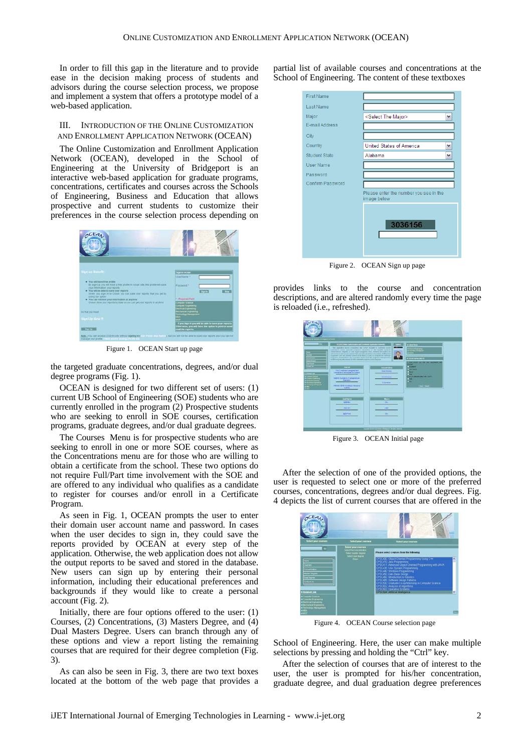In order to fill this gap in the literature and to provide ease in the decision making process of students and advisors during the course selection process, we propose and implement a system that offers a prototype model of a web-based application.

# III. INTRODUCTION OF THE ONLINE CUSTOMIZATION AND ENROLLMENT APPLICATION NETWORK (OCEAN)

The Online Customization and Enrollment Application Network (OCEAN), developed in the School of Engineering at the University of Bridgeport is an interactive web-based application for graduate programs, concentrations, certificates and courses across the Schools of Engineering, Business and Education that allows prospective and current students to customize their preferences in the course selection process depending on



Figure 1. OCEAN Start up page

the targeted graduate concentrations, degrees, and/or dual degree programs (Fig. 1).

OCEAN is designed for two different set of users: (1) current UB School of Engineering (SOE) students who are currently enrolled in the program (2) Prospective students who are seeking to enroll in SOE courses, certification programs, graduate degrees, and/or dual graduate degrees.

The Courses Menu is for prospective students who are seeking to enroll in one or more SOE courses, where as the Concentrations menu are for those who are willing to obtain a certificate from the school. These two options do not require Full/Part time involvement with the SOE and are offered to any individual who qualifies as a candidate to register for courses and/or enroll in a Certificate Program.

As seen in Fig. 1, OCEAN prompts the user to enter their domain user account name and password. In cases when the user decides to sign in, they could save the reports provided by OCEAN at every step of the application. Otherwise, the web application does not allow the output reports to be saved and stored in the database. New users can sign up by entering their personal information, including their educational preferences and backgrounds if they would like to create a personal account (Fig. 2).

Initially, there are four options offered to the user: (1) Courses, (2) Concentrations, (3) Masters Degree, and (4) Dual Masters Degree. Users can branch through any of these options and view a report listing the remaining courses that are required for their degree completion (Fig. 3).

As can also be seen in Fig. 3, there are two text boxes located at the bottom of the web page that provides a partial list of available courses and concentrations at the School of Engineering. The content of these textboxes

| <b>First Name</b>    |                                                       |
|----------------------|-------------------------------------------------------|
| Last Name            |                                                       |
| Major                | <select major="" the=""><br/>٧</select>               |
| E-mail Address       |                                                       |
| City                 |                                                       |
| Country              | United States of America<br>v                         |
| <b>Student State</b> | Alabama<br>$\checkmark$                               |
| <b>User Name</b>     |                                                       |
| Password             |                                                       |
| Confirm Password     |                                                       |
|                      | Please enter the number you see in the<br>image below |
|                      | 3036156                                               |

Figure 2. OCEAN Sign up page

provides links to the course and concentration descriptions, and are altered randomly every time the page is reloaded (i.e., refreshed).



Figure 3. OCEAN Initial page

After the selection of one of the provided options, the user is requested to select one or more of the preferred courses, concentrations, degrees and/or dual degrees. Fig. 4 depicts the list of current courses that are offered in the



Figure 4. OCEAN Course selection page

School of Engineering. Here, the user can make multiple selections by pressing and holding the "Ctrl" key.

After the selection of courses that are of interest to the user, the user is prompted for his/her concentration, graduate degree, and dual graduation degree preferences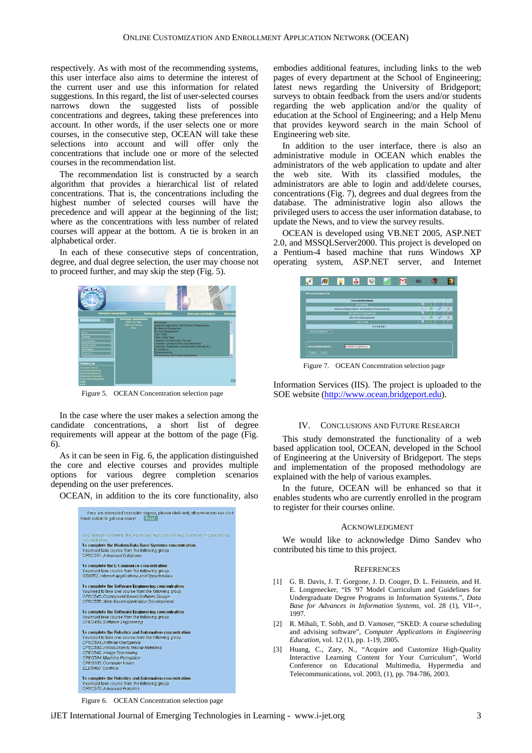respectively. As with most of the recommending systems, this user interface also aims to determine the interest of the current user and use this information for related suggestions. In this regard, the list of user-selected courses narrows down the suggested lists of possible concentrations and degrees, taking these preferences into account. In other words, if the user selects one or more courses, in the consecutive step, OCEAN will take these selections into account and will offer only the concentrations that include one or more of the selected courses in the recommendation list.

The recommendation list is constructed by a search algorithm that provides a hierarchical list of related concentrations. That is, the concentrations including the highest number of selected courses will have the precedence and will appear at the beginning of the list; where as the concentrations with less number of related courses will appear at the bottom. A tie is broken in an alphabetical order.

In each of these consecutive steps of concentration, degree, and dual degree selection, the user may choose not to proceed further, and may skip the step (Fig. 5).



Figure 5. OCEAN Concentration selection page

In the case where the user makes a selection among the candidate concentrations, a short list of degree requirements will appear at the bottom of the page (Fig. 6).

As it can be seen in Fig. 6, the application distinguished the core and elective courses and provides multiple options for various degree completion scenarios depending on the user preferences.

OCEAN, in addition to the its core functionality, also



embodies additional features, including links to the web pages of every department at the School of Engineering; latest news regarding the University of Bridgeport; surveys to obtain feedback from the users and/or students regarding the web application and/or the quality of education at the School of Engineering; and a Help Menu that provides keyword search in the main School of Engineering web site.

In addition to the user interface, there is also an administrative module in OCEAN which enables the administrators of the web application to update and alter the web site. With its classified modules, the administrators are able to login and add/delete courses, concentrations (Fig. 7), degrees and dual degrees from the database. The administrative login also allows the privileged users to access the user information database, to update the News, and to view the survey results.

OCEAN is developed using VB.NET 2005, ASP.NET 2.0, and [MSSQLServer2000.](http://www.houseoffusion.com/groups/sql/message.cfm/messageid:1683) This project is developed on a Pentium-4 based machine that runs Windows XP operating system, ASP.NET server, and Internet

|                   | л                                             |  | ÷                      | S |         |     | 660 |   |                           |  |
|-------------------|-----------------------------------------------|--|------------------------|---|---------|-----|-----|---|---------------------------|--|
|                   | <b>All Concentration List</b>                 |  |                        |   |         |     |     |   |                           |  |
| Совсеми абон Напе |                                               |  |                        |   |         |     |     |   |                           |  |
| Accounting        |                                               |  |                        |   | в       |     |     | × |                           |  |
|                   | Advanced Applications and Systems Programming |  |                        |   |         |     | ÷   | Э | $\boldsymbol{\mathsf{x}}$ |  |
|                   | <b>Bio-Madical Engineering</b>                |  |                        |   |         | ы   |     |   | ×                         |  |
|                   | <b>Bo-Tech Munagement</b>                     |  |                        |   |         | ka. |     |   | $\boldsymbol{\times}$     |  |
|                   | CAD / CAM                                     |  |                        |   |         | ۰   |     |   | æ                         |  |
|                   |                                               |  |                        |   | 1234567 |     |     |   |                           |  |
|                   | <b>CONSTRUCTION</b>                           |  |                        |   |         |     |     |   |                           |  |
|                   | Concentration Name:<br>[ Lipmer   [ Elline ]  |  | So-Medical Engineering |   |         |     |     |   |                           |  |

Figure 7. OCEAN Concentration selection page

Information Services (IIS). The project is uploaded to the SOE website [\(http://www.ocean.bridgeport.edu](http://www.ocean.bridgeport.edu/)).

### IV. CONCLUSIONS AND FUTURE RESEARCH

This study demonstrated the functionality of a web based application tool, OCEAN, developed in the School of Engineering at the University of Bridgeport. The steps and implementation of the proposed methodology are explained with the help of various examples.

In the future, OCEAN will be enhanced so that it enables students who are currently enrolled in the program to register for their courses online.

#### ACKNOWLEDGMENT

We would like to acknowledge Dimo Sandev who contributed his time to this project.

#### **REFERENCES**

- [1] G. B. Davis, J. T. Gorgone, J. D. Couger, D. L. Feinstein, and H. E. Longenecker, "IS '97 Model Curriculum and Guidelines for Undergraduate Degree Programs in Information Systems.", *Data Base for Advances in Information Systems*, vol. 28 (1), VII-+, 1997.
- [2] R. Mihali, T. Sobh, and D. Vamoser, "SKED: A course scheduling and advising software", *Computer Applications in Engineering Education*, vol. 12 (1), pp. 1-19, 2005.
- [3] Huang, C., Zary, N., "Acquire and Customize High-Quality Interactive Learning Content for Your Curriculum", World Conference on Educational Multimedia, Hypermedia and Telecommunications, vol. 2003, (1), pp. 784-786, 2003.

Figure 6. OCEAN Concentration selection page